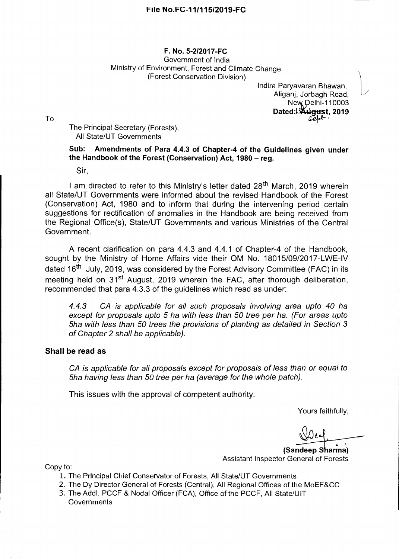## **F. No. 5-212017-FC**  Government of India Ministry of Environment, Forest and Climate Change (Forest Conservation Division)

Indira Paryavaran Bhawan, Aliganj, Jorbagh Road, New Delhi-110003 **Dated: 4** igust, 2019

The Principal Secretary (Forests), All State/UT Governments

## **Sub: Amendments of Para 4.4.3 of Chapter-4 of the Guidelines given under the Handbook of the Forest (Conservation) Act, 1980 — reg.**

Sir,

I am directed to refer to this Ministry's letter dated 28<sup>th</sup> March, 2019 wherein all State/UT Governments were informed about the revised Handbook of the Forest (Conservation) Act, 1980 and to inform that during the intervening period certain suggestions for rectification of anomalies in the Handbook are being received from the Regional Office(s), State/UT Governments and various Ministries of the Central Government.

A recent clarification on para 4.4.3 and 4.4.1 of Chapter-4 of the Handbook, sought by the Ministry of Home Affairs vide their OM No. 18015/09/2017-LWE-IV dated 16<sup>th</sup> July, 2019, was considered by the Forest Advisory Committee (FAC) in its meeting held on  $31<sup>st</sup>$  August, 2019 wherein the FAC, after thorough deliberation, recommended that para 4.3.3 of the guidelines which read as under:

4.4.3 CA is applicable for all such proposals involving area upto 40 ha except for proposals upto 5 ha with less than 50 tree per ha. (For areas upto 5ha with less than 50 trees the provisions of planting as detailed in Section 3 of Chapter 2 shall be applicable).

## **Shall be read as**

CA is applicable for all proposals except for proposals of less than or equal to 5ha having less than 50 tree per ha (average for the whole patch).

This issues with the approval of competent authority.

Yours faithfully,

**•** 

**(Sandeep Sharma)**  Assistant Inspector General of Forests

Copy to:

- 1. The Principal Chief Conservator of Forests, All State/UT Governments
- 2. The Dy Director General of Forests (Central), All Regional Offices of the MoEF&CC
- 3. The Addl. PCCF & Nodal Officer (FCA), Office of the PCCF, All State/UIT **Governments**

To